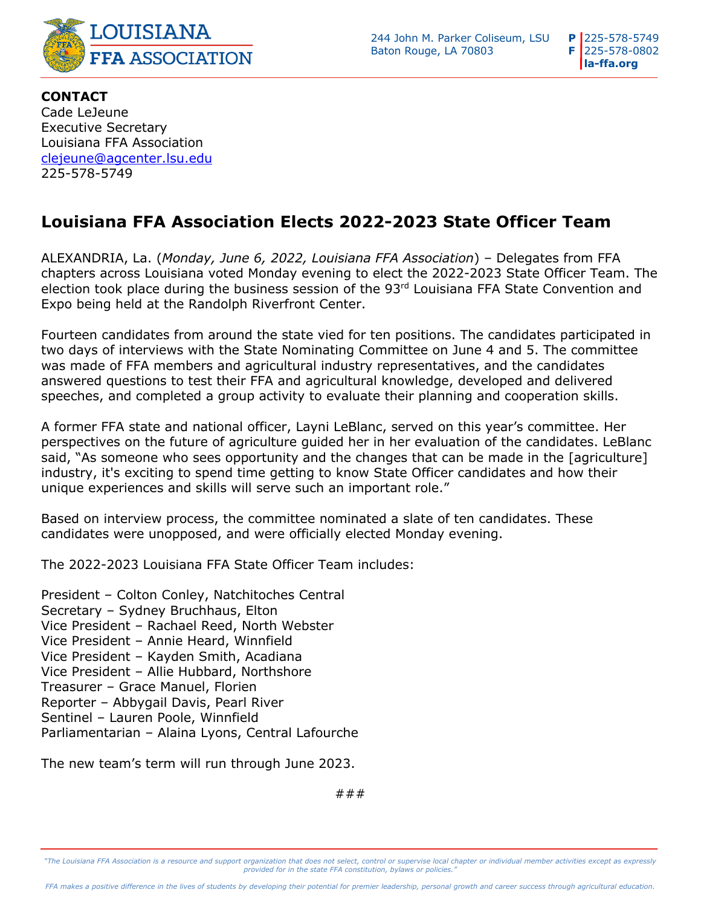

244 John M. Parker Coliseum, LSU  $\blacksquare$  **P** 225-578-5749 Baton Rouge, LA 70803 **F** 225-578-0802

 **la-ffa.org P F**

## **Louisiana FFA Association Elects 2022-2023 State Officer Team**

ALEXANDRIA, La. (*Monday, June 6, 2022, Louisiana FFA Association*) – Delegates from FFA chapters across Louisiana voted Monday evening to elect the 2022-2023 State Officer Team. The election took place during the business session of the 93rd Louisiana FFA State Convention and Expo being held at the Randolph Riverfront Center.

Fourteen candidates from around the state vied for ten positions. The candidates participated in two days of interviews with the State Nominating Committee on June 4 and 5. The committee was made of FFA members and agricultural industry representatives, and the candidates answered questions to test their FFA and agricultural knowledge, developed and delivered speeches, and completed a group activity to evaluate their planning and cooperation skills.

A former FFA state and national officer, Layni LeBlanc, served on this year's committee. Her perspectives on the future of agriculture guided her in her evaluation of the candidates. LeBlanc said, "As someone who sees opportunity and the changes that can be made in the [agriculture] industry, it's exciting to spend time getting to know State Officer candidates and how their unique experiences and skills will serve such an important role."

Based on interview process, the committee nominated a slate of ten candidates. These candidates were unopposed, and were officially elected Monday evening.

The 2022-2023 Louisiana FFA State Officer Team includes:

President – Colton Conley, Natchitoches Central Secretary – Sydney Bruchhaus, Elton Vice President – Rachael Reed, North Webster Vice President – Annie Heard, Winnfield Vice President – Kayden Smith, Acadiana Vice President – Allie Hubbard, Northshore Treasurer – Grace Manuel, Florien Reporter – Abbygail Davis, Pearl River Sentinel – Lauren Poole, Winnfield Parliamentarian – Alaina Lyons, Central Lafourche

The new team's term will run through June 2023.

###

*"The Louisiana FFA Association is a resource and support organization that does not select, control or supervise local chapter or individual member activities except as expressly*  provided for in the state FFA constitution, bylaws or policies."

*FFA makes a positive difference in the lives of students by developing their potential for premier leadership, personal growth and career success through agricultural education.*